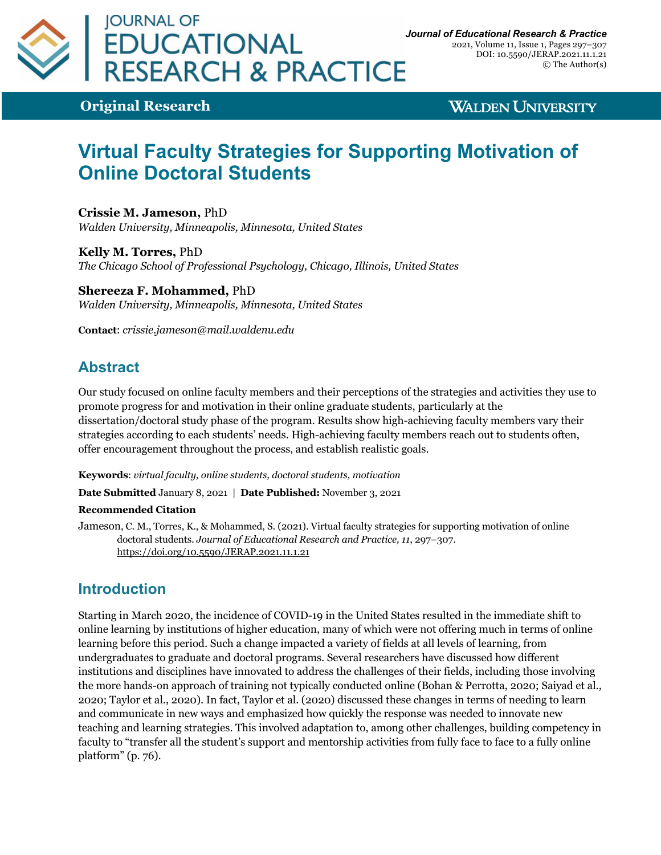

2021, Volume 11, Issue 1, Pages 297–307 DOI: 10.5590/JERAP.2021.11.1.21 © The Author(s)

**Original Research**

**WALDEN UNIVERSITY** 

# **Virtual Faculty Strategies for Supporting Motivation of Online Doctoral Students**

**Crissie M. Jameson,** PhD *Walden University, Minneapolis, Minnesota, United States*

**Kelly M. Torres,** PhD *The Chicago School of Professional Psychology, Chicago, Illinois, United States*

**Shereeza F. Mohammed,** PhD *Walden University, Minneapolis, Minnesota, United States*

**Contact**: *crissie.jameson@mail.waldenu.edu*

### **Abstract**

Our study focused on online faculty members and their perceptions of the strategies and activities they use to promote progress for and motivation in their online graduate students, particularly at the dissertation/doctoral study phase of the program. Results show high-achieving faculty members vary their strategies according to each students' needs. High-achieving faculty members reach out to students often, offer encouragement throughout the process, and establish realistic goals.

**Keywords**: *virtual faculty, online students, doctoral students, motivation*

**Date Submitted** January 8, 2021 | **Date Published:** November 3, 2021

#### **Recommended Citation**

Jameson, C. M., Torres, K., & Mohammed, S. (2021). Virtual faculty strategies for supporting motivation of online doctoral students. *Journal of Educational Research and Practice, 11*, 297–307. https://doi.org/10.5590/JERAP.2021.11.1.21

### **Introduction**

Starting in March 2020, the incidence of COVID-19 in the United States resulted in the immediate shift to online learning by institutions of higher education, many of which were not offering much in terms of online learning before this period. Such a change impacted a variety of fields at all levels of learning, from undergraduates to graduate and doctoral programs. Several researchers have discussed how different institutions and disciplines have innovated to address the challenges of their fields, including those involving the more hands-on approach of training not typically conducted online (Bohan & Perrotta, 2020; Saiyad et al., 2020; Taylor et al., 2020). In fact, Taylor et al. (2020) discussed these changes in terms of needing to learn and communicate in new ways and emphasized how quickly the response was needed to innovate new teaching and learning strategies. This involved adaptation to, among other challenges, building competency in faculty to "transfer all the student's support and mentorship activities from fully face to face to a fully online platform" (p. 76).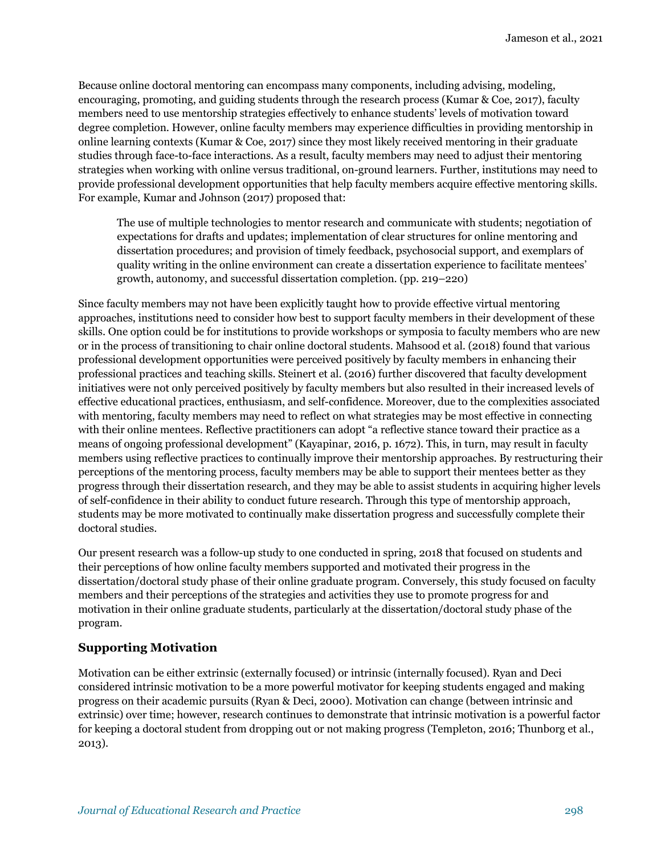Because online doctoral mentoring can encompass many components, including advising, modeling, encouraging, promoting, and guiding students through the research process (Kumar & Coe, 2017), faculty members need to use mentorship strategies effectively to enhance students' levels of motivation toward degree completion. However, online faculty members may experience difficulties in providing mentorship in online learning contexts (Kumar & Coe, 2017) since they most likely received mentoring in their graduate studies through face-to-face interactions. As a result, faculty members may need to adjust their mentoring strategies when working with online versus traditional, on-ground learners. Further, institutions may need to provide professional development opportunities that help faculty members acquire effective mentoring skills. For example, Kumar and Johnson (2017) proposed that:

The use of multiple technologies to mentor research and communicate with students; negotiation of expectations for drafts and updates; implementation of clear structures for online mentoring and dissertation procedures; and provision of timely feedback, psychosocial support, and exemplars of quality writing in the online environment can create a dissertation experience to facilitate mentees' growth, autonomy, and successful dissertation completion. (pp. 219–220)

Since faculty members may not have been explicitly taught how to provide effective virtual mentoring approaches, institutions need to consider how best to support faculty members in their development of these skills. One option could be for institutions to provide workshops or symposia to faculty members who are new or in the process of transitioning to chair online doctoral students. Mahsood et al. (2018) found that various professional development opportunities were perceived positively by faculty members in enhancing their professional practices and teaching skills. Steinert et al. (2016) further discovered that faculty development initiatives were not only perceived positively by faculty members but also resulted in their increased levels of effective educational practices, enthusiasm, and self-confidence. Moreover, due to the complexities associated with mentoring, faculty members may need to reflect on what strategies may be most effective in connecting with their online mentees. Reflective practitioners can adopt "a reflective stance toward their practice as a means of ongoing professional development" (Kayapinar, 2016, p. 1672). This, in turn, may result in faculty members using reflective practices to continually improve their mentorship approaches. By restructuring their perceptions of the mentoring process, faculty members may be able to support their mentees better as they progress through their dissertation research, and they may be able to assist students in acquiring higher levels of self-confidence in their ability to conduct future research. Through this type of mentorship approach, students may be more motivated to continually make dissertation progress and successfully complete their doctoral studies.

Our present research was a follow-up study to one conducted in spring, 2018 that focused on students and their perceptions of how online faculty members supported and motivated their progress in the dissertation/doctoral study phase of their online graduate program. Conversely, this study focused on faculty members and their perceptions of the strategies and activities they use to promote progress for and motivation in their online graduate students, particularly at the dissertation/doctoral study phase of the program.

### **Supporting Motivation**

Motivation can be either extrinsic (externally focused) or intrinsic (internally focused). Ryan and Deci considered intrinsic motivation to be a more powerful motivator for keeping students engaged and making progress on their academic pursuits (Ryan & Deci, 2000). Motivation can change (between intrinsic and extrinsic) over time; however, research continues to demonstrate that intrinsic motivation is a powerful factor for keeping a doctoral student from dropping out or not making progress (Templeton, 2016; Thunborg et al., 2013).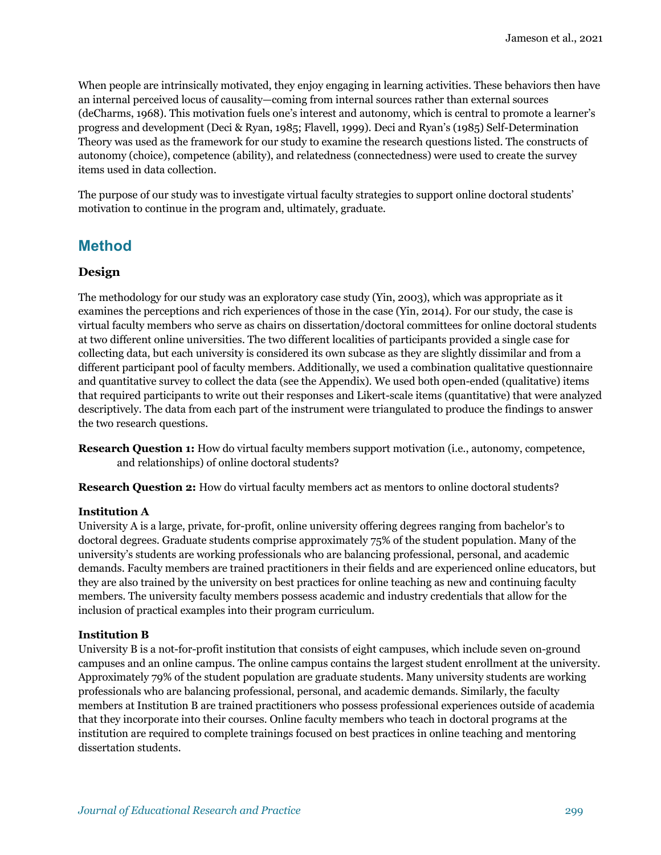When people are intrinsically motivated, they enjoy engaging in learning activities. These behaviors then have an internal perceived locus of causality—coming from internal sources rather than external sources (deCharms, 1968). This motivation fuels one's interest and autonomy, which is central to promote a learner's progress and development (Deci & Ryan, 1985; Flavell, 1999). Deci and Ryan's (1985) Self-Determination Theory was used as the framework for our study to examine the research questions listed. The constructs of autonomy (choice), competence (ability), and relatedness (connectedness) were used to create the survey items used in data collection.

The purpose of our study was to investigate virtual faculty strategies to support online doctoral students' motivation to continue in the program and, ultimately, graduate.

### **Method**

#### **Design**

The methodology for our study was an exploratory case study (Yin, 2003), which was appropriate as it examines the perceptions and rich experiences of those in the case (Yin, 2014). For our study, the case is virtual faculty members who serve as chairs on dissertation/doctoral committees for online doctoral students at two different online universities. The two different localities of participants provided a single case for collecting data, but each university is considered its own subcase as they are slightly dissimilar and from a different participant pool of faculty members. Additionally, we used a combination qualitative questionnaire and quantitative survey to collect the data (see the Appendix). We used both open-ended (qualitative) items that required participants to write out their responses and Likert-scale items (quantitative) that were analyzed descriptively. The data from each part of the instrument were triangulated to produce the findings to answer the two research questions.

**Research Question 1:** How do virtual faculty members support motivation (i.e., autonomy, competence, and relationships) of online doctoral students?

**Research Question 2:** How do virtual faculty members act as mentors to online doctoral students?

#### **Institution A**

University A is a large, private, for-profit, online university offering degrees ranging from bachelor's to doctoral degrees. Graduate students comprise approximately 75% of the student population. Many of the university's students are working professionals who are balancing professional, personal, and academic demands. Faculty members are trained practitioners in their fields and are experienced online educators, but they are also trained by the university on best practices for online teaching as new and continuing faculty members. The university faculty members possess academic and industry credentials that allow for the inclusion of practical examples into their program curriculum.

#### **Institution B**

University B is a not-for-profit institution that consists of eight campuses, which include seven on-ground campuses and an online campus. The online campus contains the largest student enrollment at the university. Approximately 79% of the student population are graduate students. Many university students are working professionals who are balancing professional, personal, and academic demands. Similarly, the faculty members at Institution B are trained practitioners who possess professional experiences outside of academia that they incorporate into their courses. Online faculty members who teach in doctoral programs at the institution are required to complete trainings focused on best practices in online teaching and mentoring dissertation students.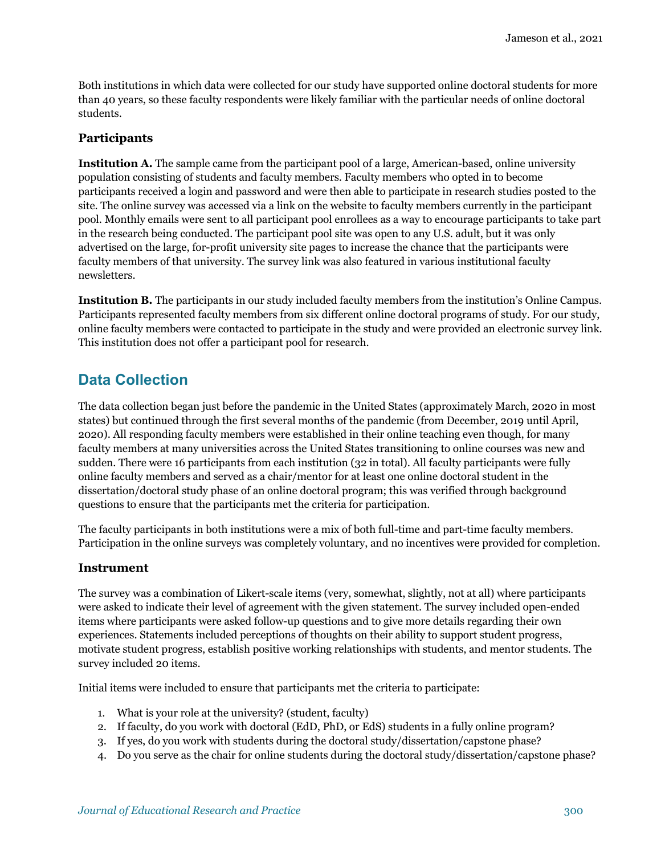Both institutions in which data were collected for our study have supported online doctoral students for more than 40 years, so these faculty respondents were likely familiar with the particular needs of online doctoral students.

#### **Participants**

**Institution A.** The sample came from the participant pool of a large, American-based, online university population consisting of students and faculty members. Faculty members who opted in to become participants received a login and password and were then able to participate in research studies posted to the site. The online survey was accessed via a link on the website to faculty members currently in the participant pool. Monthly emails were sent to all participant pool enrollees as a way to encourage participants to take part in the research being conducted. The participant pool site was open to any U.S. adult, but it was only advertised on the large, for-profit university site pages to increase the chance that the participants were faculty members of that university. The survey link was also featured in various institutional faculty newsletters.

**Institution B.** The participants in our study included faculty members from the institution's Online Campus. Participants represented faculty members from six different online doctoral programs of study. For our study, online faculty members were contacted to participate in the study and were provided an electronic survey link. This institution does not offer a participant pool for research.

### **Data Collection**

The data collection began just before the pandemic in the United States (approximately March, 2020 in most states) but continued through the first several months of the pandemic (from December, 2019 until April, 2020). All responding faculty members were established in their online teaching even though, for many faculty members at many universities across the United States transitioning to online courses was new and sudden. There were 16 participants from each institution (32 in total). All faculty participants were fully online faculty members and served as a chair/mentor for at least one online doctoral student in the dissertation/doctoral study phase of an online doctoral program; this was verified through background questions to ensure that the participants met the criteria for participation.

The faculty participants in both institutions were a mix of both full-time and part-time faculty members. Participation in the online surveys was completely voluntary, and no incentives were provided for completion.

#### **Instrument**

The survey was a combination of Likert-scale items (very, somewhat, slightly, not at all) where participants were asked to indicate their level of agreement with the given statement. The survey included open-ended items where participants were asked follow-up questions and to give more details regarding their own experiences. Statements included perceptions of thoughts on their ability to support student progress, motivate student progress, establish positive working relationships with students, and mentor students. The survey included 20 items.

Initial items were included to ensure that participants met the criteria to participate:

- 1. What is your role at the university? (student, faculty)
- 2. If faculty, do you work with doctoral (EdD, PhD, or EdS) students in a fully online program?
- 3. If yes, do you work with students during the doctoral study/dissertation/capstone phase?
- 4. Do you serve as the chair for online students during the doctoral study/dissertation/capstone phase?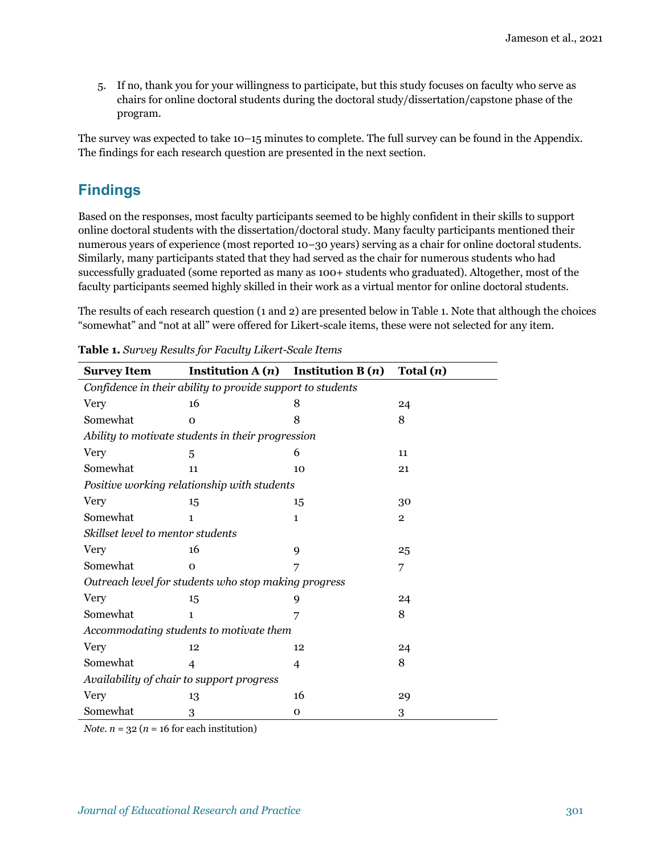5. If no, thank you for your willingness to participate, but this study focuses on faculty who serve as chairs for online doctoral students during the doctoral study/dissertation/capstone phase of the program.

The survey was expected to take 10–15 minutes to complete. The full survey can be found in the Appendix. The findings for each research question are presented in the next section.

### **Findings**

Based on the responses, most faculty participants seemed to be highly confident in their skills to support online doctoral students with the dissertation/doctoral study. Many faculty participants mentioned their numerous years of experience (most reported 10–30 years) serving as a chair for online doctoral students. Similarly, many participants stated that they had served as the chair for numerous students who had successfully graduated (some reported as many as 100+ students who graduated). Altogether, most of the faculty participants seemed highly skilled in their work as a virtual mentor for online doctoral students.

The results of each research question (1 and 2) are presented below in Table 1. Note that although the choices "somewhat" and "not at all" were offered for Likert-scale items, these were not selected for any item.

| <b>Survey Item</b>                                         | Institution $A(n)$ | Institution $B(n)$ | Total $(n)$    |
|------------------------------------------------------------|--------------------|--------------------|----------------|
| Confidence in their ability to provide support to students |                    |                    |                |
| Very                                                       | 16                 | 8                  | 24             |
| Somewhat                                                   | $\Omega$           | 8                  | 8              |
| Ability to motivate students in their progression          |                    |                    |                |
| <b>Very</b>                                                | 5                  | 6                  | 11             |
| Somewhat                                                   | 11                 | 10                 | 21             |
| Positive working relationship with students                |                    |                    |                |
| Very                                                       | 15                 | 15                 | 30             |
| Somewhat                                                   | $\mathbf{1}$       | $\mathbf{1}$       | $\overline{2}$ |
| Skillset level to mentor students                          |                    |                    |                |
| <b>Very</b>                                                | 16                 | 9                  | 25             |
| Somewhat                                                   | $\Omega$           | 7                  | 7              |
| Outreach level for students who stop making progress       |                    |                    |                |
| Very                                                       | 15                 | 9                  | 24             |
| Somewhat                                                   | $\mathbf{1}$       |                    | 8              |
| Accommodating students to motivate them                    |                    |                    |                |
| Very                                                       | 12                 | 12                 | 24             |
| Somewhat                                                   | 4                  | 4                  | 8              |
| Availability of chair to support progress                  |                    |                    |                |
| Very                                                       | 13                 | 16                 | 29             |
| Somewhat                                                   | 3                  | $\mathbf 0$        | 3              |

**Table 1.** *Survey Results for Faculty Likert-Scale Items*

*Note*.  $n = 32$  ( $n = 16$  for each institution)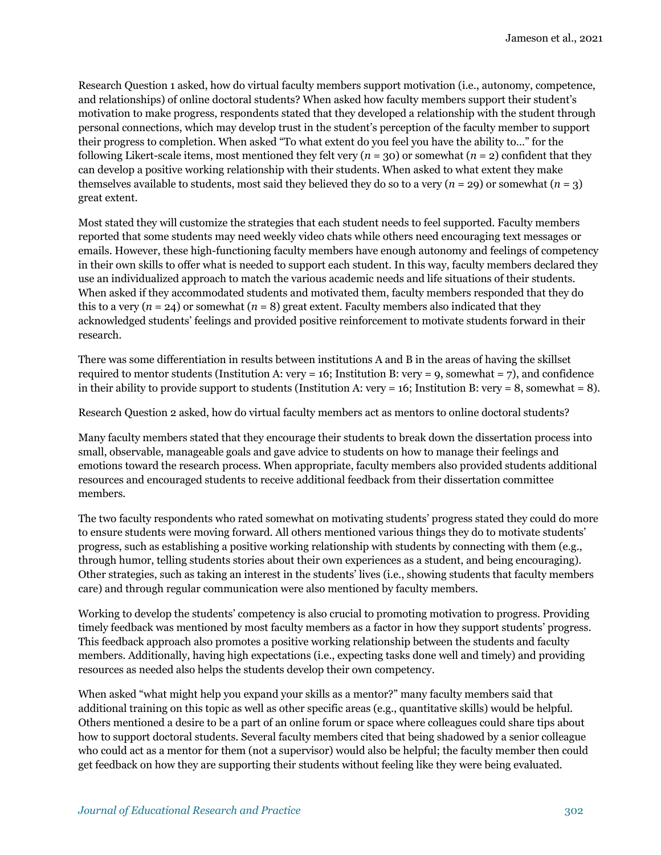Research Question 1 asked, how do virtual faculty members support motivation (i.e., autonomy, competence, and relationships) of online doctoral students? When asked how faculty members support their student's motivation to make progress, respondents stated that they developed a relationship with the student through personal connections, which may develop trust in the student's perception of the faculty member to support their progress to completion. When asked "To what extent do you feel you have the ability to…" for the following Likert-scale items, most mentioned they felt very  $(n = 30)$  or somewhat  $(n = 2)$  confident that they can develop a positive working relationship with their students. When asked to what extent they make themselves available to students, most said they believed they do so to a very  $(n = 29)$  or somewhat  $(n = 3)$ great extent.

Most stated they will customize the strategies that each student needs to feel supported. Faculty members reported that some students may need weekly video chats while others need encouraging text messages or emails. However, these high-functioning faculty members have enough autonomy and feelings of competency in their own skills to offer what is needed to support each student. In this way, faculty members declared they use an individualized approach to match the various academic needs and life situations of their students. When asked if they accommodated students and motivated them, faculty members responded that they do this to a very  $(n = 24)$  or somewhat  $(n = 8)$  great extent. Faculty members also indicated that they acknowledged students' feelings and provided positive reinforcement to motivate students forward in their research.

There was some differentiation in results between institutions A and B in the areas of having the skillset required to mentor students (Institution A: very = 16; Institution B: very = 9, somewhat = 7), and confidence in their ability to provide support to students (Institution A: very = 16; Institution B: very = 8, somewhat = 8).

Research Question 2 asked, how do virtual faculty members act as mentors to online doctoral students?

Many faculty members stated that they encourage their students to break down the dissertation process into small, observable, manageable goals and gave advice to students on how to manage their feelings and emotions toward the research process. When appropriate, faculty members also provided students additional resources and encouraged students to receive additional feedback from their dissertation committee members.

The two faculty respondents who rated somewhat on motivating students' progress stated they could do more to ensure students were moving forward. All others mentioned various things they do to motivate students' progress, such as establishing a positive working relationship with students by connecting with them (e.g., through humor, telling students stories about their own experiences as a student, and being encouraging). Other strategies, such as taking an interest in the students' lives (i.e., showing students that faculty members care) and through regular communication were also mentioned by faculty members.

Working to develop the students' competency is also crucial to promoting motivation to progress. Providing timely feedback was mentioned by most faculty members as a factor in how they support students' progress. This feedback approach also promotes a positive working relationship between the students and faculty members. Additionally, having high expectations (i.e., expecting tasks done well and timely) and providing resources as needed also helps the students develop their own competency.

When asked "what might help you expand your skills as a mentor?" many faculty members said that additional training on this topic as well as other specific areas (e.g., quantitative skills) would be helpful. Others mentioned a desire to be a part of an online forum or space where colleagues could share tips about how to support doctoral students. Several faculty members cited that being shadowed by a senior colleague who could act as a mentor for them (not a supervisor) would also be helpful; the faculty member then could get feedback on how they are supporting their students without feeling like they were being evaluated.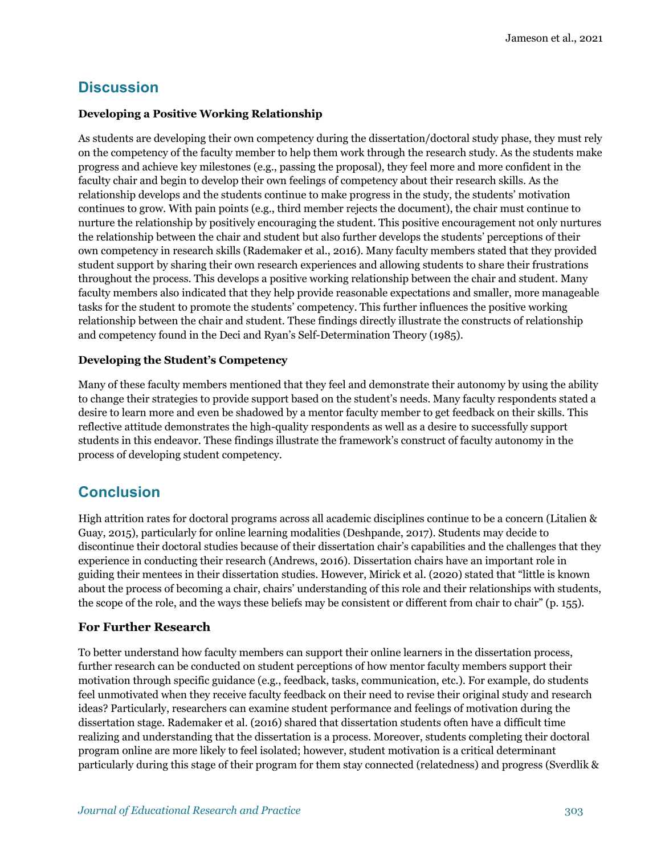### **Discussion**

#### **Developing a Positive Working Relationship**

As students are developing their own competency during the dissertation/doctoral study phase, they must rely on the competency of the faculty member to help them work through the research study. As the students make progress and achieve key milestones (e.g., passing the proposal), they feel more and more confident in the faculty chair and begin to develop their own feelings of competency about their research skills. As the relationship develops and the students continue to make progress in the study, the students' motivation continues to grow. With pain points (e.g., third member rejects the document), the chair must continue to nurture the relationship by positively encouraging the student. This positive encouragement not only nurtures the relationship between the chair and student but also further develops the students' perceptions of their own competency in research skills (Rademaker et al., 2016). Many faculty members stated that they provided student support by sharing their own research experiences and allowing students to share their frustrations throughout the process. This develops a positive working relationship between the chair and student. Many faculty members also indicated that they help provide reasonable expectations and smaller, more manageable tasks for the student to promote the students' competency. This further influences the positive working relationship between the chair and student. These findings directly illustrate the constructs of relationship and competency found in the Deci and Ryan's Self-Determination Theory (1985).

### **Developing the Student's Competency**

Many of these faculty members mentioned that they feel and demonstrate their autonomy by using the ability to change their strategies to provide support based on the student's needs. Many faculty respondents stated a desire to learn more and even be shadowed by a mentor faculty member to get feedback on their skills. This reflective attitude demonstrates the high-quality respondents as well as a desire to successfully support students in this endeavor. These findings illustrate the framework's construct of faculty autonomy in the process of developing student competency.

### **Conclusion**

High attrition rates for doctoral programs across all academic disciplines continue to be a concern (Litalien & Guay, 2015), particularly for online learning modalities (Deshpande, 2017). Students may decide to discontinue their doctoral studies because of their dissertation chair's capabilities and the challenges that they experience in conducting their research (Andrews, 2016). Dissertation chairs have an important role in guiding their mentees in their dissertation studies. However, Mirick et al. (2020) stated that "little is known about the process of becoming a chair, chairs' understanding of this role and their relationships with students, the scope of the role, and the ways these beliefs may be consistent or different from chair to chair" (p. 155).

### **For Further Research**

To better understand how faculty members can support their online learners in the dissertation process, further research can be conducted on student perceptions of how mentor faculty members support their motivation through specific guidance (e.g., feedback, tasks, communication, etc.). For example, do students feel unmotivated when they receive faculty feedback on their need to revise their original study and research ideas? Particularly, researchers can examine student performance and feelings of motivation during the dissertation stage. Rademaker et al. (2016) shared that dissertation students often have a difficult time realizing and understanding that the dissertation is a process. Moreover, students completing their doctoral program online are more likely to feel isolated; however, student motivation is a critical determinant particularly during this stage of their program for them stay connected (relatedness) and progress (Sverdlik &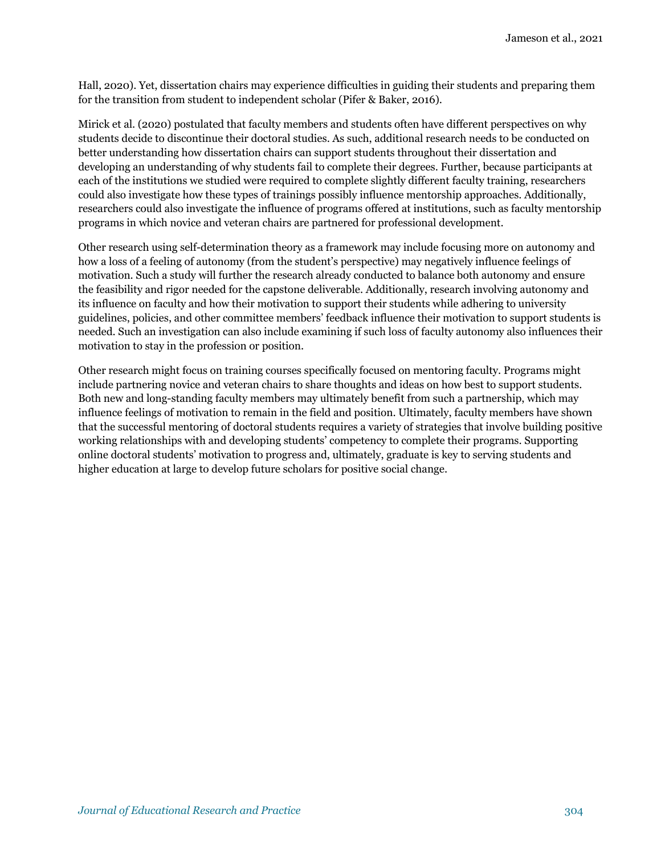Hall, 2020). Yet, dissertation chairs may experience difficulties in guiding their students and preparing them for the transition from student to independent scholar (Pifer & Baker, 2016).

Mirick et al. (2020) postulated that faculty members and students often have different perspectives on why students decide to discontinue their doctoral studies. As such, additional research needs to be conducted on better understanding how dissertation chairs can support students throughout their dissertation and developing an understanding of why students fail to complete their degrees. Further, because participants at each of the institutions we studied were required to complete slightly different faculty training, researchers could also investigate how these types of trainings possibly influence mentorship approaches. Additionally, researchers could also investigate the influence of programs offered at institutions, such as faculty mentorship programs in which novice and veteran chairs are partnered for professional development.

Other research using self-determination theory as a framework may include focusing more on autonomy and how a loss of a feeling of autonomy (from the student's perspective) may negatively influence feelings of motivation. Such a study will further the research already conducted to balance both autonomy and ensure the feasibility and rigor needed for the capstone deliverable. Additionally, research involving autonomy and its influence on faculty and how their motivation to support their students while adhering to university guidelines, policies, and other committee members' feedback influence their motivation to support students is needed. Such an investigation can also include examining if such loss of faculty autonomy also influences their motivation to stay in the profession or position.

Other research might focus on training courses specifically focused on mentoring faculty. Programs might include partnering novice and veteran chairs to share thoughts and ideas on how best to support students. Both new and long-standing faculty members may ultimately benefit from such a partnership, which may influence feelings of motivation to remain in the field and position. Ultimately, faculty members have shown that the successful mentoring of doctoral students requires a variety of strategies that involve building positive working relationships with and developing students' competency to complete their programs. Supporting online doctoral students' motivation to progress and, ultimately, graduate is key to serving students and higher education at large to develop future scholars for positive social change.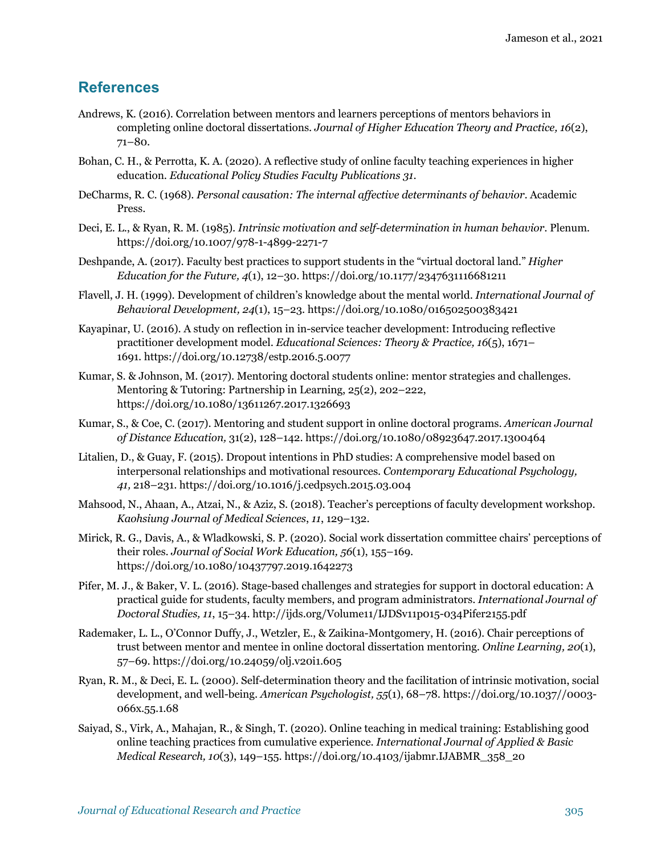### **References**

- Andrews, K. (2016). Correlation between mentors and learners perceptions of mentors behaviors in completing online doctoral dissertations. *Journal of Higher Education Theory and Practice, 16*(2), 71–80.
- Bohan, C. H., & Perrotta, K. A. (2020). A reflective study of online faculty teaching experiences in higher education. *Educational Policy Studies Faculty Publications 31*.
- DeCharms, R. C. (1968). *Personal causation: The internal affective determinants of behavior*. Academic Press.
- Deci, E. L., & Ryan, R. M. (1985). *Intrinsic motivation and self-determination in human behavior*. Plenum. https://doi.org/10.1007/978-1-4899-2271-7
- Deshpande, A. (2017). Faculty best practices to support students in the "virtual doctoral land." *Higher Education for the Future, 4*(1), 12–30. https://doi.org/10.1177/2347631116681211
- Flavell, J. H. (1999). Development of children's knowledge about the mental world. *International Journal of Behavioral Development, 24*(1), 15–23. https://doi.org/10.1080/016502500383421
- Kayapinar, U. (2016). A study on reflection in in-service teacher development: Introducing reflective practitioner development model. *Educational Sciences: Theory & Practice, 16*(5), 1671– 1691. https://doi.org/10.12738/estp.2016.5.0077
- Kumar, S. & Johnson, M. (2017). Mentoring doctoral students online: mentor strategies and challenges. Mentoring & Tutoring: Partnership in Learning, 25(2), 202–222, https://doi.org/10.1080/13611267.2017.1326693
- Kumar, S., & Coe, C. (2017). Mentoring and student support in online doctoral programs. *American Journal of Distance Education,* 31(2), 128–142. https://doi.org/10.1080/08923647.2017.1300464
- Litalien, D., & Guay, F. (2015). Dropout intentions in PhD studies: A comprehensive model based on interpersonal relationships and motivational resources. *Contemporary Educational Psychology, 41,* 218–231. https://doi.org/10.1016/j.cedpsych.2015.03.004
- Mahsood, N., Ahaan, A., Atzai, N., & Aziz, S. (2018). Teacher's perceptions of faculty development workshop. *Kaohsiung Journal of Medical Sciences*, *11*, 129–132.
- Mirick, R. G., Davis, A., & Wladkowski, S. P. (2020). Social work dissertation committee chairs' perceptions of their roles. *Journal of Social Work Education, 56*(1), 155–169. https://doi.org/10.1080/10437797.2019.1642273
- Pifer, M. J., & Baker, V. L. (2016). Stage-based challenges and strategies for support in doctoral education: A practical guide for students, faculty members, and program administrators. *International Journal of Doctoral Studies, 11*, 15–34. http://ijds.org/Volume11/IJDSv11p015-034Pifer2155.pdf
- Rademaker, L. L., O'Connor Duffy, J., Wetzler, E., & Zaikina-Montgomery, H. (2016). Chair perceptions of trust between mentor and mentee in online doctoral dissertation mentoring. *Online Learning, 20*(1), 57–69. https://doi.org/10.24059/olj.v20i1.605
- Ryan, R. M., & Deci, E. L. (2000). Self-determination theory and the facilitation of intrinsic motivation, social development, and well-being. *American Psychologist, 55*(1), 68–78. https://doi.org/10.1037//0003- 066x.55.1.68
- Saiyad, S., Virk, A., Mahajan, R., & Singh, T. (2020). Online teaching in medical training: Establishing good online teaching practices from cumulative experience. *International Journal of Applied & Basic Medical Research, 10*(3), 149–155. https://doi.org/10.4103/ijabmr.IJABMR\_358\_20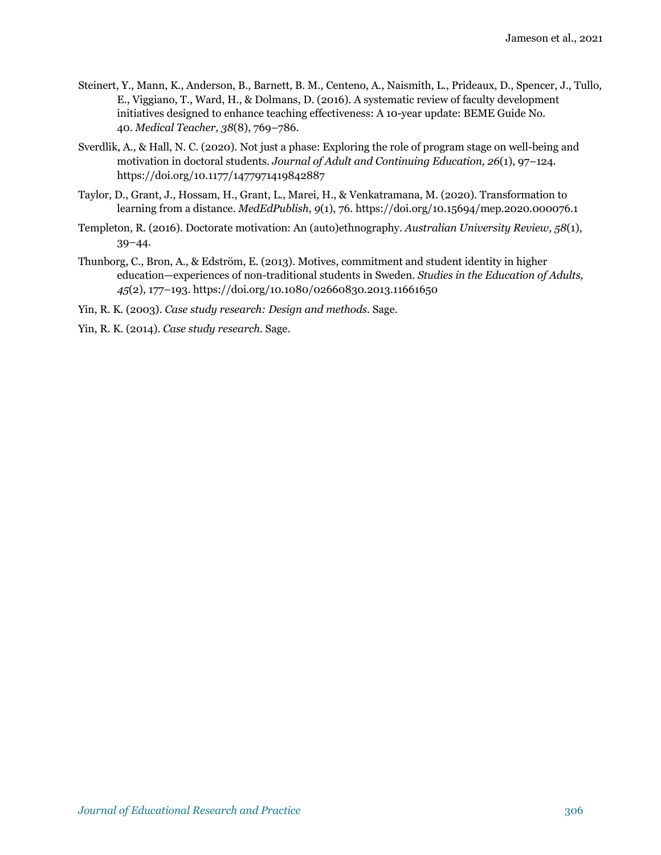- Steinert, Y., Mann, K., Anderson, B., Barnett, B. M., Centeno, A., Naismith, L., Prideaux, D., Spencer, J., Tullo, E., Viggiano, T., Ward, H., & Dolmans, D. (2016). A systematic review of faculty development initiatives designed to enhance teaching effectiveness: A 10-year update: BEME Guide No. 40. *Medical Teacher, 38*(8), 769–786.
- Sverdlik, A., & Hall, N. C. (2020). Not just a phase: Exploring the role of program stage on well-being and motivation in doctoral students. *Journal of Adult and Continuing Education, 26*(1), 97–124. https://doi.org/10.1177/1477971419842887
- Taylor, D., Grant, J., Hossam, H., Grant, L., Marei, H., & Venkatramana, M. (2020). Transformation to learning from a distance. *MedEdPublish*, *9*(1), 76. https://doi.org/10.15694/mep.2020.000076.1
- Templeton, R. (2016). Doctorate motivation: An (auto)ethnography. *Australian University Review, 58*(1), 39–44*.*
- Thunborg, C., Bron, A., & Edström, E. (2013). Motives, commitment and student identity in higher education—experiences of non-traditional students in Sweden. *Studies in the Education of Adults, 45*(2), 177–193. https://doi.org/10.1080/02660830.2013.11661650
- Yin, R. K. (2003). *Case study research: Design and methods.* Sage.
- Yin, R. K. (2014). *Case study research.* Sage.